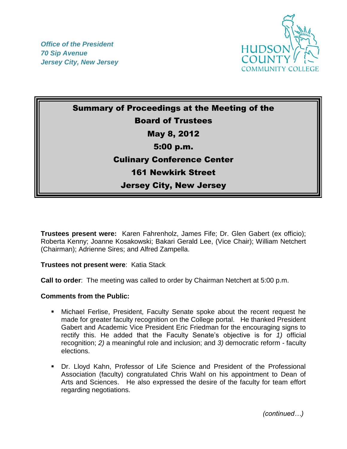*Office of the President 70 Sip Avenue Jersey City, New Jersey*



Summary of Proceedings at the Meeting of the Board of Trustees May 8, 2012 5:00 p.m. Culinary Conference Center 161 Newkirk Street Jersey City, New Jersey

**Trustees present were:** Karen Fahrenholz, James Fife; Dr. Glen Gabert (ex officio); Roberta Kenny; Joanne Kosakowski; Bakari Gerald Lee, (Vice Chair); William Netchert (Chairman); Adrienne Sires; and Alfred Zampella.

**Trustees not present were**: Katia Stack

**Call to order**: The meeting was called to order by Chairman Netchert at 5:00 p.m.

## **Comments from the Public:**

- Michael Ferlise, President, Faculty Senate spoke about the recent request he made for greater faculty recognition on the College portal. He thanked President Gabert and Academic Vice President Eric Friedman for the encouraging signs to rectify this. He added that the Faculty Senate's objective is for *1)* official recognition; *2)* a meaningful role and inclusion; and *3)* democratic reform - faculty elections.
- Dr. Lloyd Kahn, Professor of Life Science and President of the Professional Association (faculty) congratulated Chris Wahl on his appointment to Dean of Arts and Sciences. He also expressed the desire of the faculty for team effort regarding negotiations.

*(continued…)*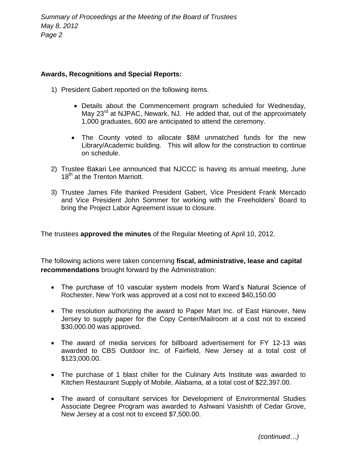## **Awards, Recognitions and Special Reports:**

- 1) President Gabert reported on the following items.
	- Details about the Commencement program scheduled for Wednesday, May 23<sup>rd</sup> at NJPAC, Newark, NJ. He added that, out of the approximately 1,000 graduates, 600 are anticipated to attend the ceremony.
	- The County voted to allocate \$8M unmatched funds for the new Library/Academic building. This will allow for the construction to continue on schedule.
- 2) Trustee Bakari Lee announced that NJCCC is having its annual meeting, June 18<sup>th</sup> at the Trenton Marriott.
- 3) Trustee James Fife thanked President Gabert, Vice President Frank Mercado and Vice President John Sommer for working with the Freeholders' Board to bring the Project Labor Agreement issue to closure.

The trustees **approved the minutes** of the Regular Meeting of April 10, 2012.

The following actions were taken concerning **fiscal, administrative, lease and capital recommendations** brought forward by the Administration:

- The purchase of 10 vascular system models from Ward's Natural Science of Rochester, New York was approved at a cost not to exceed \$40,150.00
- The resolution authorizing the award to Paper Mart Inc. of East Hanover, New Jersey to supply paper for the Copy Center/Mailroom at a cost not to exceed \$30,000.00 was approved.
- The award of media services for billboard advertisement for FY 12-13 was awarded to CBS Outdoor Inc. of Fairfield, New Jersey at a total cost of \$123,000.00.
- The purchase of 1 blast chiller for the Culinary Arts Institute was awarded to Kitchen Restaurant Supply of Mobile, Alabama, at a total cost of \$22,397.00.
- The award of consultant services for Development of Environmental Studies Associate Degree Program was awarded to Ashwani Vasishth of Cedar Grove, New Jersey at a cost not to exceed \$7,500.00.